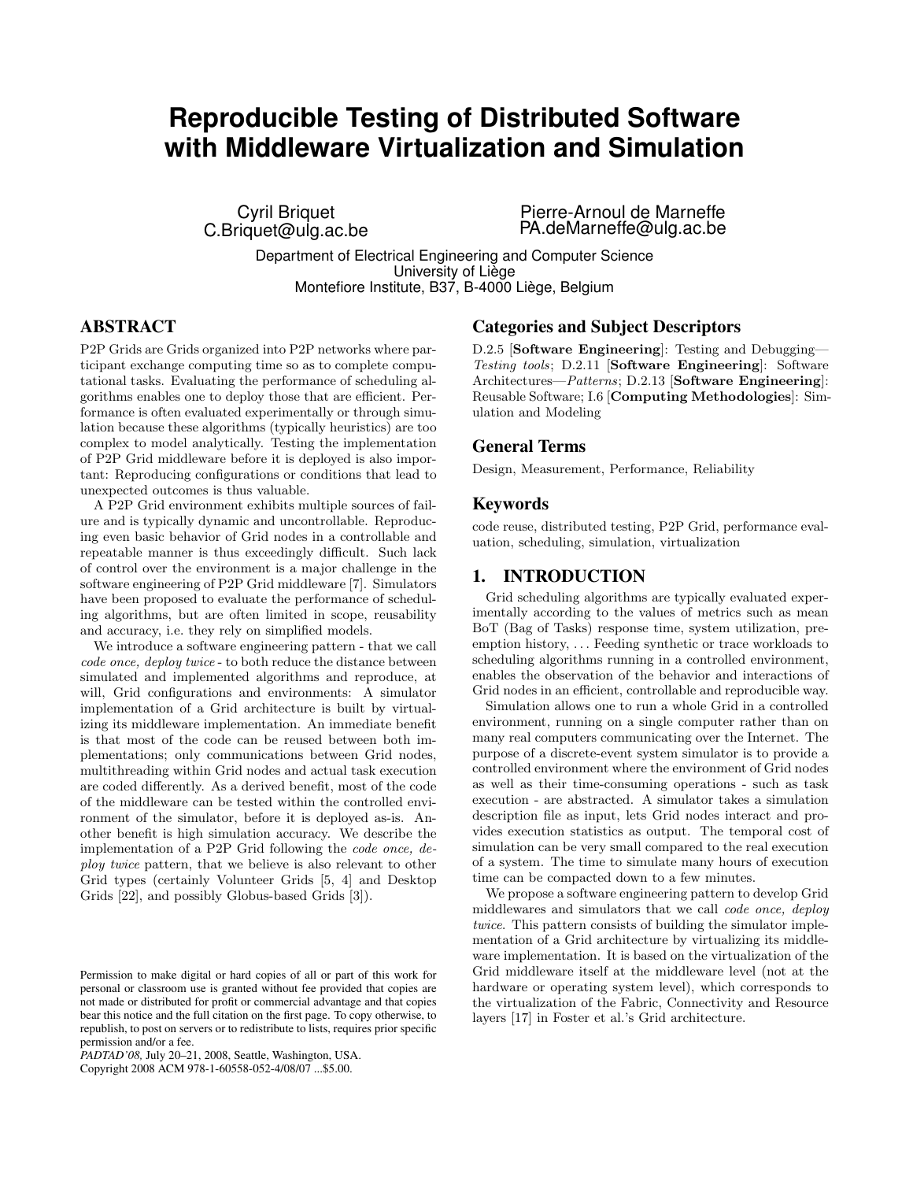# **Reproducible Testing of Distributed Software with Middleware Virtualization and Simulation**

Cyril Briquet C.Briquet@ulg.ac.be Pierre-Arnoul de Marneffe PA.deMarneffe@ulg.ac.be

Department of Electrical Engineering and Computer Science University of Liège Montefiore Institute, B37, B-4000 Liège, Belgium

# ABSTRACT

P2P Grids are Grids organized into P2P networks where participant exchange computing time so as to complete computational tasks. Evaluating the performance of scheduling algorithms enables one to deploy those that are efficient. Performance is often evaluated experimentally or through simulation because these algorithms (typically heuristics) are too complex to model analytically. Testing the implementation of P2P Grid middleware before it is deployed is also important: Reproducing configurations or conditions that lead to unexpected outcomes is thus valuable.

A P2P Grid environment exhibits multiple sources of failure and is typically dynamic and uncontrollable. Reproducing even basic behavior of Grid nodes in a controllable and repeatable manner is thus exceedingly difficult. Such lack of control over the environment is a major challenge in the software engineering of P2P Grid middleware [7]. Simulators have been proposed to evaluate the performance of scheduling algorithms, but are often limited in scope, reusability and accuracy, i.e. they rely on simplified models.

We introduce a software engineering pattern - that we call code once, deploy twice - to both reduce the distance between simulated and implemented algorithms and reproduce, at will, Grid configurations and environments: A simulator implementation of a Grid architecture is built by virtualizing its middleware implementation. An immediate benefit is that most of the code can be reused between both implementations; only communications between Grid nodes, multithreading within Grid nodes and actual task execution are coded differently. As a derived benefit, most of the code of the middleware can be tested within the controlled environment of the simulator, before it is deployed as-is. Another benefit is high simulation accuracy. We describe the implementation of a P2P Grid following the code once, deploy twice pattern, that we believe is also relevant to other Grid types (certainly Volunteer Grids [5, 4] and Desktop Grids [22], and possibly Globus-based Grids [3]).

Copyright 2008 ACM 978-1-60558-052-4/08/07 ...\$5.00.

#### Categories and Subject Descriptors

D.2.5 [Software Engineering]: Testing and Debugging— Testing tools; D.2.11 [Software Engineering]: Software Architectures—*Patterns*; D.2.13 [Software Engineering]: Reusable Software; I.6 [Computing Methodologies]: Simulation and Modeling

## General Terms

Design, Measurement, Performance, Reliability

#### Keywords

code reuse, distributed testing, P2P Grid, performance evaluation, scheduling, simulation, virtualization

## 1. INTRODUCTION

Grid scheduling algorithms are typically evaluated experimentally according to the values of metrics such as mean BoT (Bag of Tasks) response time, system utilization, preemption history, . . . Feeding synthetic or trace workloads to scheduling algorithms running in a controlled environment, enables the observation of the behavior and interactions of Grid nodes in an efficient, controllable and reproducible way.

Simulation allows one to run a whole Grid in a controlled environment, running on a single computer rather than on many real computers communicating over the Internet. The purpose of a discrete-event system simulator is to provide a controlled environment where the environment of Grid nodes as well as their time-consuming operations - such as task execution - are abstracted. A simulator takes a simulation description file as input, lets Grid nodes interact and provides execution statistics as output. The temporal cost of simulation can be very small compared to the real execution of a system. The time to simulate many hours of execution time can be compacted down to a few minutes.

We propose a software engineering pattern to develop Grid middlewares and simulators that we call code once, deploy twice. This pattern consists of building the simulator implementation of a Grid architecture by virtualizing its middleware implementation. It is based on the virtualization of the Grid middleware itself at the middleware level (not at the hardware or operating system level), which corresponds to the virtualization of the Fabric, Connectivity and Resource layers [17] in Foster et al.'s Grid architecture.

Permission to make digital or hard copies of all or part of this work for personal or classroom use is granted without fee provided that copies are not made or distributed for profit or commercial advantage and that copies bear this notice and the full citation on the first page. To copy otherwise, to republish, to post on servers or to redistribute to lists, requires prior specific permission and/or a fee.

*PADTAD'08,* July 20–21, 2008, Seattle, Washington, USA.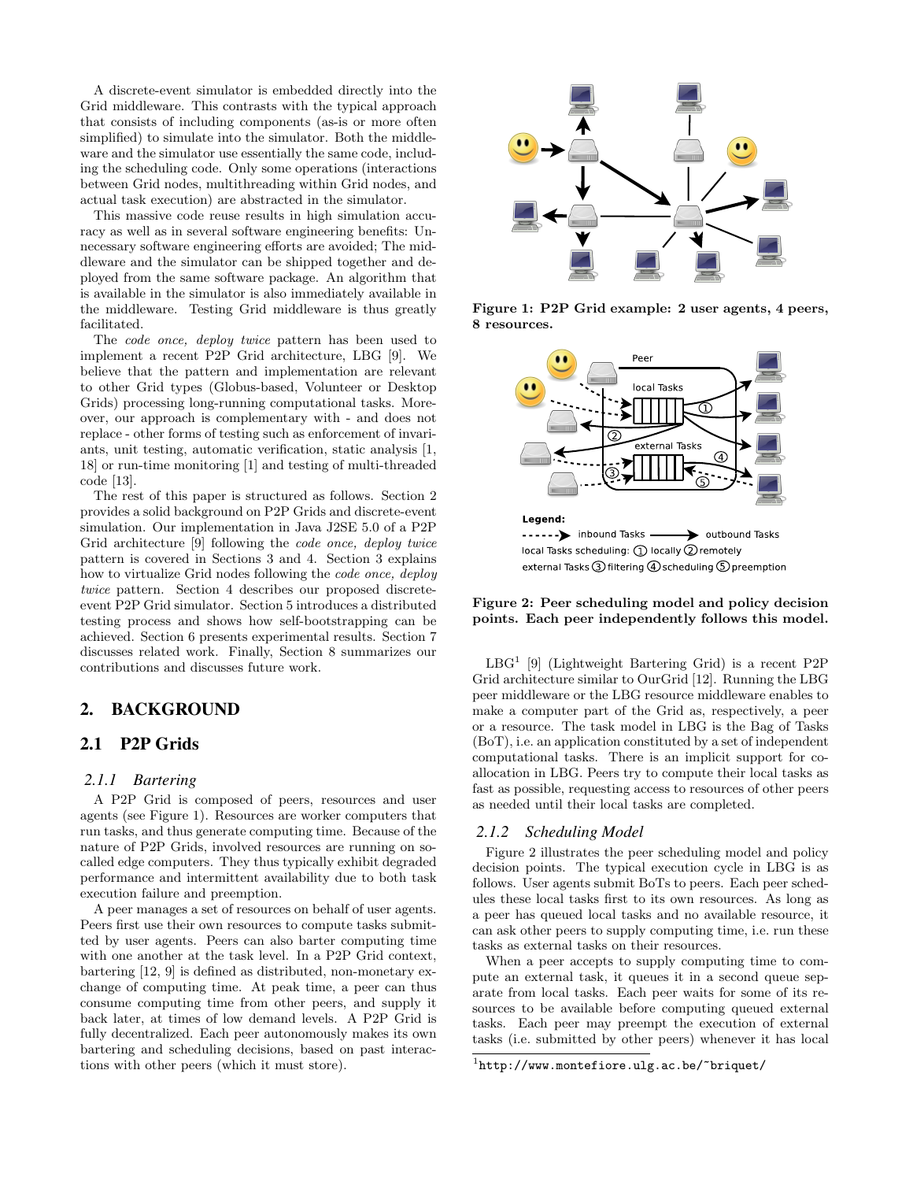A discrete-event simulator is embedded directly into the Grid middleware. This contrasts with the typical approach that consists of including components (as-is or more often simplified) to simulate into the simulator. Both the middleware and the simulator use essentially the same code, including the scheduling code. Only some operations (interactions between Grid nodes, multithreading within Grid nodes, and actual task execution) are abstracted in the simulator.

This massive code reuse results in high simulation accuracy as well as in several software engineering benefits: Unnecessary software engineering efforts are avoided; The middleware and the simulator can be shipped together and deployed from the same software package. An algorithm that is available in the simulator is also immediately available in the middleware. Testing Grid middleware is thus greatly facilitated.

The code once, deploy twice pattern has been used to implement a recent P2P Grid architecture, LBG [9]. We believe that the pattern and implementation are relevant to other Grid types (Globus-based, Volunteer or Desktop Grids) processing long-running computational tasks. Moreover, our approach is complementary with - and does not replace - other forms of testing such as enforcement of invariants, unit testing, automatic verification, static analysis [1, 18] or run-time monitoring [1] and testing of multi-threaded code [13].

The rest of this paper is structured as follows. Section 2 provides a solid background on P2P Grids and discrete-event simulation. Our implementation in Java J2SE 5.0 of a P2P Grid architecture [9] following the code once, deploy twice pattern is covered in Sections 3 and 4. Section 3 explains how to virtualize Grid nodes following the code once, deploy twice pattern. Section 4 describes our proposed discreteevent P2P Grid simulator. Section 5 introduces a distributed testing process and shows how self-bootstrapping can be achieved. Section 6 presents experimental results. Section 7 discusses related work. Finally, Section 8 summarizes our contributions and discusses future work.

## 2. BACKGROUND

# 2.1 P2P Grids

# *2.1.1 Bartering*

A P2P Grid is composed of peers, resources and user agents (see Figure 1). Resources are worker computers that run tasks, and thus generate computing time. Because of the nature of P2P Grids, involved resources are running on socalled edge computers. They thus typically exhibit degraded performance and intermittent availability due to both task execution failure and preemption.

A peer manages a set of resources on behalf of user agents. Peers first use their own resources to compute tasks submitted by user agents. Peers can also barter computing time with one another at the task level. In a P2P Grid context, bartering [12, 9] is defined as distributed, non-monetary exchange of computing time. At peak time, a peer can thus consume computing time from other peers, and supply it back later, at times of low demand levels. A P2P Grid is fully decentralized. Each peer autonomously makes its own bartering and scheduling decisions, based on past interactions with other peers (which it must store).



Figure 1: P2P Grid example: 2 user agents, 4 peers, 8 resources.



Figure 2: Peer scheduling model and policy decision points. Each peer independently follows this model.

LBG<sup>1</sup> [9] (Lightweight Bartering Grid) is a recent P2P Grid architecture similar to OurGrid [12]. Running the LBG peer middleware or the LBG resource middleware enables to make a computer part of the Grid as, respectively, a peer or a resource. The task model in LBG is the Bag of Tasks (BoT), i.e. an application constituted by a set of independent computational tasks. There is an implicit support for coallocation in LBG. Peers try to compute their local tasks as fast as possible, requesting access to resources of other peers as needed until their local tasks are completed.

#### *2.1.2 Scheduling Model*

Figure 2 illustrates the peer scheduling model and policy decision points. The typical execution cycle in LBG is as follows. User agents submit BoTs to peers. Each peer schedules these local tasks first to its own resources. As long as a peer has queued local tasks and no available resource, it can ask other peers to supply computing time, i.e. run these tasks as external tasks on their resources.

When a peer accepts to supply computing time to compute an external task, it queues it in a second queue separate from local tasks. Each peer waits for some of its resources to be available before computing queued external tasks. Each peer may preempt the execution of external tasks (i.e. submitted by other peers) whenever it has local

 $1$ http://www.montefiore.ulg.ac.be/~briquet/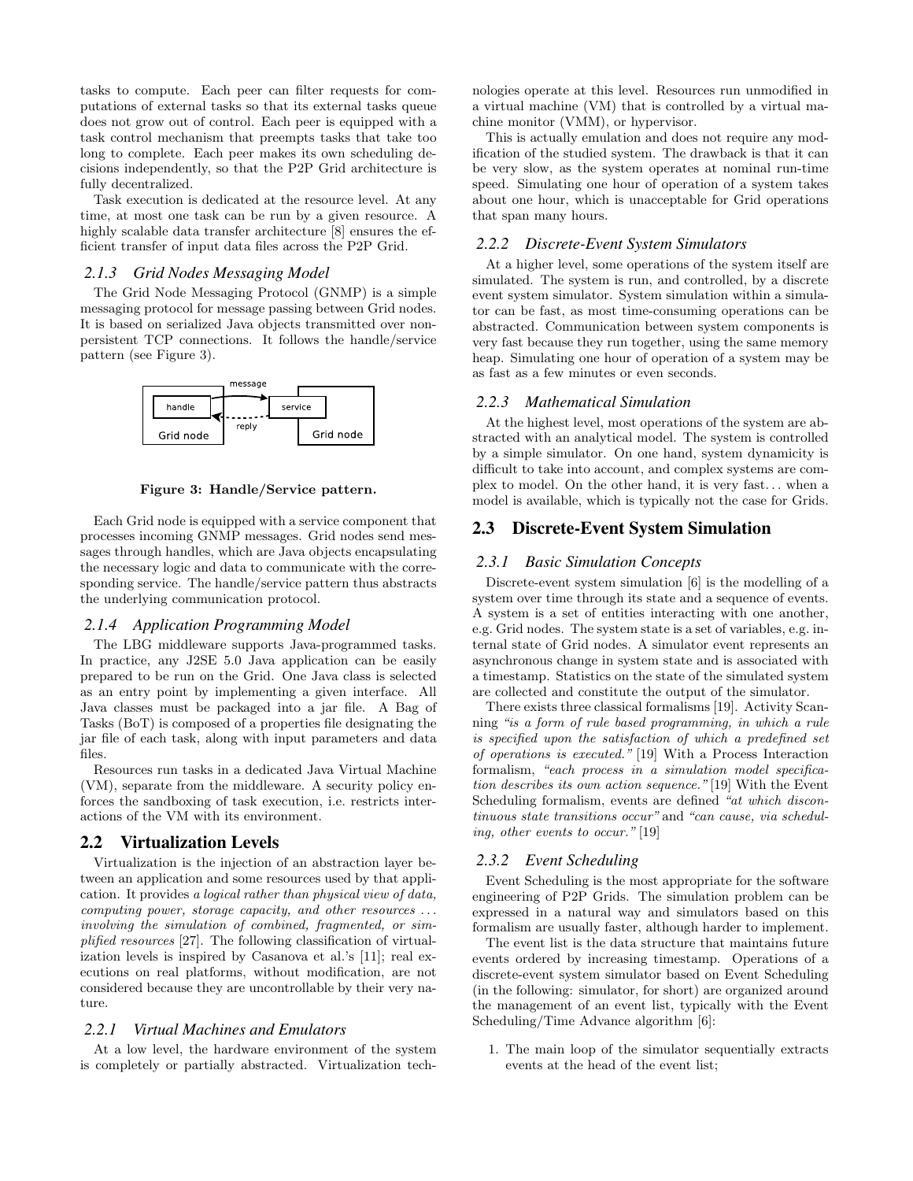tasks to compute. Each peer can filter requests for computations of external tasks so that its external tasks queue does not grow out of control. Each peer is equipped with a task control mechanism that preempts tasks that take too long to complete. Each peer makes its own scheduling decisions independently, so that the P2P Grid architecture is fully decentralized.

Task execution is dedicated at the resource level. At any time, at most one task can be run by a given resource. A highly scalable data transfer architecture  $[8]$  ensures the efficient transfer of input data files across the P2P Grid.

#### *2.1.3 Grid Nodes Messaging Model*

The Grid Node Messaging Protocol (GNMP) is a simple messaging protocol for message passing between Grid nodes. It is based on serialized Java objects transmitted over nonpersistent TCP connections. It follows the handle/service pattern (see Figure 3).



#### Figure 3: Handle/Service pattern.

Each Grid node is equipped with a service component that processes incoming GNMP messages. Grid nodes send messages through handles, which are Java objects encapsulating the necessary logic and data to communicate with the corresponding service. The handle/service pattern thus abstracts the underlying communication protocol.

#### *2.1.4 Application Programming Model*

The LBG middleware supports Java-programmed tasks. In practice, any J2SE 5.0 Java application can be easily prepared to be run on the Grid. One Java class is selected as an entry point by implementing a given interface. All Java classes must be packaged into a jar file. A Bag of Tasks (BoT) is composed of a properties file designating the jar file of each task, along with input parameters and data files.

Resources run tasks in a dedicated Java Virtual Machine (VM), separate from the middleware. A security policy enforces the sandboxing of task execution, i.e. restricts interactions of the VM with its environment.

#### 2.2 Virtualization Levels

Virtualization is the injection of an abstraction layer between an application and some resources used by that application. It provides a logical rather than physical view of data, computing power, storage capacity, and other resources . . . involving the simulation of combined, fragmented, or simplified resources [27]. The following classification of virtualization levels is inspired by Casanova et al.'s [11]; real executions on real platforms, without modification, are not considered because they are uncontrollable by their very nature.

#### *2.2.1 Virtual Machines and Emulators*

At a low level, the hardware environment of the system is completely or partially abstracted. Virtualization technologies operate at this level. Resources run unmodified in a virtual machine (VM) that is controlled by a virtual machine monitor (VMM), or hypervisor.

This is actually emulation and does not require any modification of the studied system. The drawback is that it can be very slow, as the system operates at nominal run-time speed. Simulating one hour of operation of a system takes about one hour, which is unacceptable for Grid operations that span many hours.

## *2.2.2 Discrete-Event System Simulators*

At a higher level, some operations of the system itself are simulated. The system is run, and controlled, by a discrete event system simulator. System simulation within a simulator can be fast, as most time-consuming operations can be abstracted. Communication between system components is very fast because they run together, using the same memory heap. Simulating one hour of operation of a system may be as fast as a few minutes or even seconds.

#### *2.2.3 Mathematical Simulation*

At the highest level, most operations of the system are abstracted with an analytical model. The system is controlled by a simple simulator. On one hand, system dynamicity is difficult to take into account, and complex systems are complex to model. On the other hand, it is very fast. . . when a model is available, which is typically not the case for Grids.

## 2.3 Discrete-Event System Simulation

#### *2.3.1 Basic Simulation Concepts*

Discrete-event system simulation [6] is the modelling of a system over time through its state and a sequence of events. A system is a set of entities interacting with one another, e.g. Grid nodes. The system state is a set of variables, e.g. internal state of Grid nodes. A simulator event represents an asynchronous change in system state and is associated with a timestamp. Statistics on the state of the simulated system are collected and constitute the output of the simulator.

There exists three classical formalisms [19]. Activity Scanning "is a form of rule based programming, in which a rule is specified upon the satisfaction of which a predefined set of operations is executed." [19] With a Process Interaction formalism, "each process in a simulation model specification describes its own action sequence." [19] With the Event Scheduling formalism, events are defined "at which discontinuous state transitions occur" and "can cause, via scheduling, other events to occur." [19]

#### *2.3.2 Event Scheduling*

Event Scheduling is the most appropriate for the software engineering of P2P Grids. The simulation problem can be expressed in a natural way and simulators based on this formalism are usually faster, although harder to implement.

The event list is the data structure that maintains future events ordered by increasing timestamp. Operations of a discrete-event system simulator based on Event Scheduling (in the following: simulator, for short) are organized around the management of an event list, typically with the Event Scheduling/Time Advance algorithm [6]:

1. The main loop of the simulator sequentially extracts events at the head of the event list;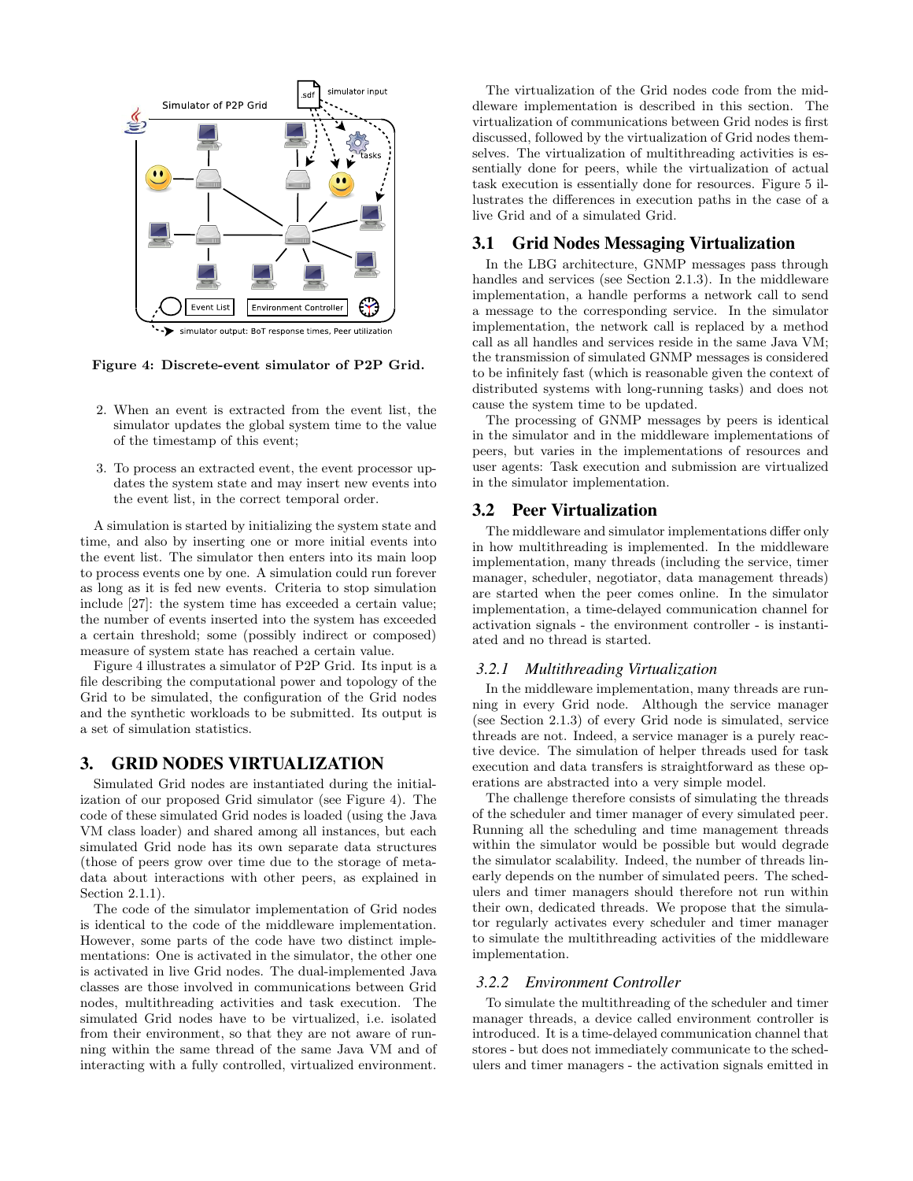

Figure 4: Discrete-event simulator of P2P Grid.

- 2. When an event is extracted from the event list, the simulator updates the global system time to the value of the timestamp of this event;
- 3. To process an extracted event, the event processor updates the system state and may insert new events into the event list, in the correct temporal order.

A simulation is started by initializing the system state and time, and also by inserting one or more initial events into the event list. The simulator then enters into its main loop to process events one by one. A simulation could run forever as long as it is fed new events. Criteria to stop simulation include [27]: the system time has exceeded a certain value; the number of events inserted into the system has exceeded a certain threshold; some (possibly indirect or composed) measure of system state has reached a certain value.

Figure 4 illustrates a simulator of P2P Grid. Its input is a file describing the computational power and topology of the Grid to be simulated, the configuration of the Grid nodes and the synthetic workloads to be submitted. Its output is a set of simulation statistics.

# 3. GRID NODES VIRTUALIZATION

Simulated Grid nodes are instantiated during the initialization of our proposed Grid simulator (see Figure 4). The code of these simulated Grid nodes is loaded (using the Java VM class loader) and shared among all instances, but each simulated Grid node has its own separate data structures (those of peers grow over time due to the storage of metadata about interactions with other peers, as explained in Section 2.1.1).

The code of the simulator implementation of Grid nodes is identical to the code of the middleware implementation. However, some parts of the code have two distinct implementations: One is activated in the simulator, the other one is activated in live Grid nodes. The dual-implemented Java classes are those involved in communications between Grid nodes, multithreading activities and task execution. The simulated Grid nodes have to be virtualized, i.e. isolated from their environment, so that they are not aware of running within the same thread of the same Java VM and of interacting with a fully controlled, virtualized environment.

The virtualization of the Grid nodes code from the middleware implementation is described in this section. The virtualization of communications between Grid nodes is first discussed, followed by the virtualization of Grid nodes themselves. The virtualization of multithreading activities is essentially done for peers, while the virtualization of actual task execution is essentially done for resources. Figure 5 illustrates the differences in execution paths in the case of a live Grid and of a simulated Grid.

## 3.1 Grid Nodes Messaging Virtualization

In the LBG architecture, GNMP messages pass through handles and services (see Section 2.1.3). In the middleware implementation, a handle performs a network call to send a message to the corresponding service. In the simulator implementation, the network call is replaced by a method call as all handles and services reside in the same Java VM; the transmission of simulated GNMP messages is considered to be infinitely fast (which is reasonable given the context of distributed systems with long-running tasks) and does not cause the system time to be updated.

The processing of GNMP messages by peers is identical in the simulator and in the middleware implementations of peers, but varies in the implementations of resources and user agents: Task execution and submission are virtualized in the simulator implementation.

## 3.2 Peer Virtualization

The middleware and simulator implementations differ only in how multithreading is implemented. In the middleware implementation, many threads (including the service, timer manager, scheduler, negotiator, data management threads) are started when the peer comes online. In the simulator implementation, a time-delayed communication channel for activation signals - the environment controller - is instantiated and no thread is started.

## *3.2.1 Multithreading Virtualization*

In the middleware implementation, many threads are running in every Grid node. Although the service manager (see Section 2.1.3) of every Grid node is simulated, service threads are not. Indeed, a service manager is a purely reactive device. The simulation of helper threads used for task execution and data transfers is straightforward as these operations are abstracted into a very simple model.

The challenge therefore consists of simulating the threads of the scheduler and timer manager of every simulated peer. Running all the scheduling and time management threads within the simulator would be possible but would degrade the simulator scalability. Indeed, the number of threads linearly depends on the number of simulated peers. The schedulers and timer managers should therefore not run within their own, dedicated threads. We propose that the simulator regularly activates every scheduler and timer manager to simulate the multithreading activities of the middleware implementation.

#### *3.2.2 Environment Controller*

To simulate the multithreading of the scheduler and timer manager threads, a device called environment controller is introduced. It is a time-delayed communication channel that stores - but does not immediately communicate to the schedulers and timer managers - the activation signals emitted in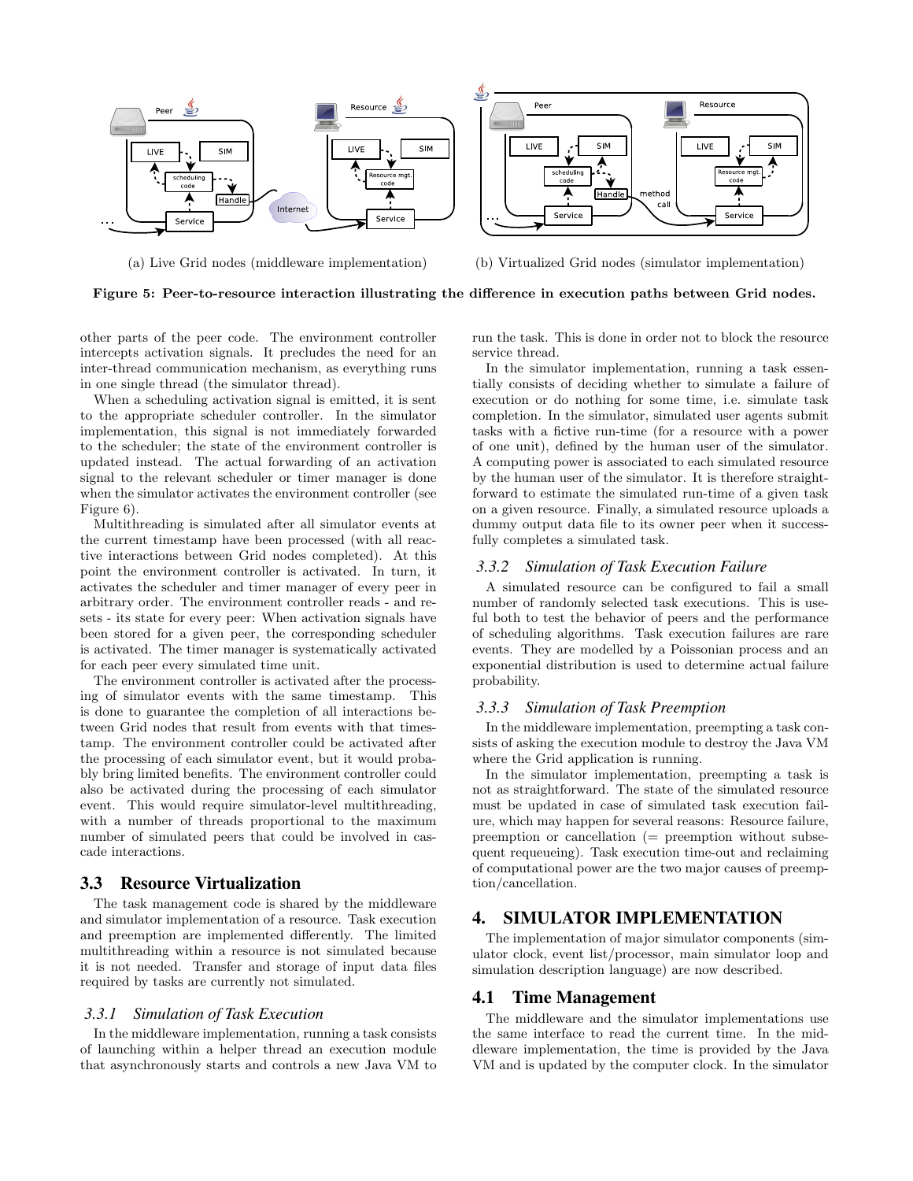

(a) Live Grid nodes (middleware implementation) (b) Virtualized Grid nodes (simulator implementation)

Figure 5: Peer-to-resource interaction illustrating the difference in execution paths between Grid nodes.

other parts of the peer code. The environment controller intercepts activation signals. It precludes the need for an inter-thread communication mechanism, as everything runs in one single thread (the simulator thread).

When a scheduling activation signal is emitted, it is sent to the appropriate scheduler controller. In the simulator implementation, this signal is not immediately forwarded to the scheduler; the state of the environment controller is updated instead. The actual forwarding of an activation signal to the relevant scheduler or timer manager is done when the simulator activates the environment controller (see Figure 6).

Multithreading is simulated after all simulator events at the current timestamp have been processed (with all reactive interactions between Grid nodes completed). At this point the environment controller is activated. In turn, it activates the scheduler and timer manager of every peer in arbitrary order. The environment controller reads - and resets - its state for every peer: When activation signals have been stored for a given peer, the corresponding scheduler is activated. The timer manager is systematically activated for each peer every simulated time unit.

The environment controller is activated after the processing of simulator events with the same timestamp. This is done to guarantee the completion of all interactions between Grid nodes that result from events with that timestamp. The environment controller could be activated after the processing of each simulator event, but it would probably bring limited benefits. The environment controller could also be activated during the processing of each simulator event. This would require simulator-level multithreading, with a number of threads proportional to the maximum number of simulated peers that could be involved in cascade interactions.

## 3.3 Resource Virtualization

The task management code is shared by the middleware and simulator implementation of a resource. Task execution and preemption are implemented differently. The limited multithreading within a resource is not simulated because it is not needed. Transfer and storage of input data files required by tasks are currently not simulated.

#### *3.3.1 Simulation of Task Execution*

In the middleware implementation, running a task consists of launching within a helper thread an execution module that asynchronously starts and controls a new Java VM to

run the task. This is done in order not to block the resource service thread.

In the simulator implementation, running a task essentially consists of deciding whether to simulate a failure of execution or do nothing for some time, i.e. simulate task completion. In the simulator, simulated user agents submit tasks with a fictive run-time (for a resource with a power of one unit), defined by the human user of the simulator. A computing power is associated to each simulated resource by the human user of the simulator. It is therefore straightforward to estimate the simulated run-time of a given task on a given resource. Finally, a simulated resource uploads a dummy output data file to its owner peer when it successfully completes a simulated task.

#### *3.3.2 Simulation of Task Execution Failure*

A simulated resource can be configured to fail a small number of randomly selected task executions. This is useful both to test the behavior of peers and the performance of scheduling algorithms. Task execution failures are rare events. They are modelled by a Poissonian process and an exponential distribution is used to determine actual failure probability.

#### *3.3.3 Simulation of Task Preemption*

In the middleware implementation, preempting a task consists of asking the execution module to destroy the Java VM where the Grid application is running.

In the simulator implementation, preempting a task is not as straightforward. The state of the simulated resource must be updated in case of simulated task execution failure, which may happen for several reasons: Resource failure, preemption or cancellation (= preemption without subsequent requeueing). Task execution time-out and reclaiming of computational power are the two major causes of preemption/cancellation.

# 4. SIMULATOR IMPLEMENTATION

The implementation of major simulator components (simulator clock, event list/processor, main simulator loop and simulation description language) are now described.

#### 4.1 Time Management

The middleware and the simulator implementations use the same interface to read the current time. In the middleware implementation, the time is provided by the Java VM and is updated by the computer clock. In the simulator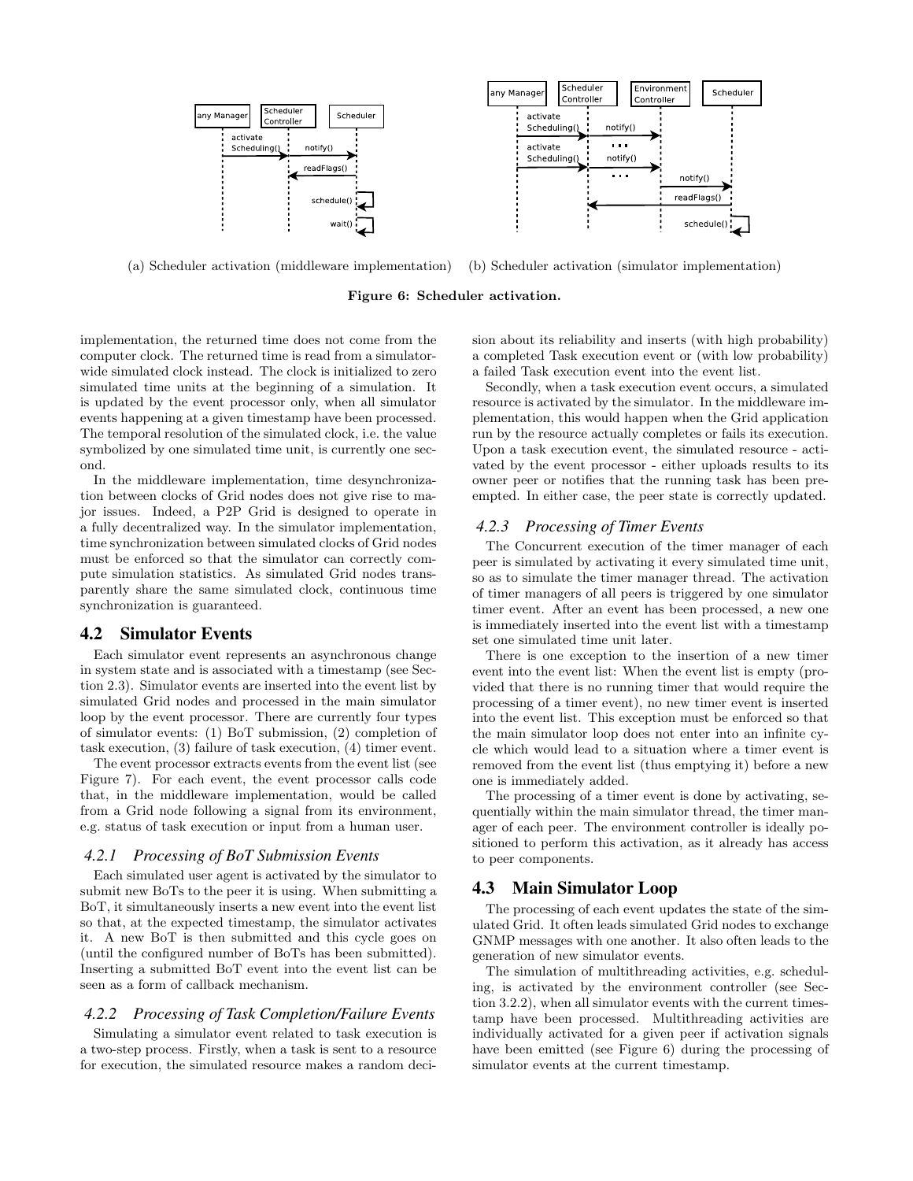

(a) Scheduler activation (middleware implementation) (b) Scheduler activation (simulator implementation)





implementation, the returned time does not come from the computer clock. The returned time is read from a simulatorwide simulated clock instead. The clock is initialized to zero simulated time units at the beginning of a simulation. It is updated by the event processor only, when all simulator events happening at a given timestamp have been processed. The temporal resolution of the simulated clock, i.e. the value symbolized by one simulated time unit, is currently one second.

In the middleware implementation, time desynchronization between clocks of Grid nodes does not give rise to major issues. Indeed, a P2P Grid is designed to operate in a fully decentralized way. In the simulator implementation, time synchronization between simulated clocks of Grid nodes must be enforced so that the simulator can correctly compute simulation statistics. As simulated Grid nodes transparently share the same simulated clock, continuous time synchronization is guaranteed.

#### 4.2 Simulator Events

Each simulator event represents an asynchronous change in system state and is associated with a timestamp (see Section 2.3). Simulator events are inserted into the event list by simulated Grid nodes and processed in the main simulator loop by the event processor. There are currently four types of simulator events: (1) BoT submission, (2) completion of task execution, (3) failure of task execution, (4) timer event.

The event processor extracts events from the event list (see Figure 7). For each event, the event processor calls code that, in the middleware implementation, would be called from a Grid node following a signal from its environment, e.g. status of task execution or input from a human user.

#### *4.2.1 Processing of BoT Submission Events*

Each simulated user agent is activated by the simulator to submit new BoTs to the peer it is using. When submitting a BoT, it simultaneously inserts a new event into the event list so that, at the expected timestamp, the simulator activates it. A new BoT is then submitted and this cycle goes on (until the configured number of BoTs has been submitted). Inserting a submitted BoT event into the event list can be seen as a form of callback mechanism.

#### *4.2.2 Processing of Task Completion/Failure Events*

Simulating a simulator event related to task execution is a two-step process. Firstly, when a task is sent to a resource for execution, the simulated resource makes a random decision about its reliability and inserts (with high probability) a completed Task execution event or (with low probability) a failed Task execution event into the event list.

Secondly, when a task execution event occurs, a simulated resource is activated by the simulator. In the middleware implementation, this would happen when the Grid application run by the resource actually completes or fails its execution. Upon a task execution event, the simulated resource - activated by the event processor - either uploads results to its owner peer or notifies that the running task has been preempted. In either case, the peer state is correctly updated.

#### *4.2.3 Processing of Timer Events*

The Concurrent execution of the timer manager of each peer is simulated by activating it every simulated time unit, so as to simulate the timer manager thread. The activation of timer managers of all peers is triggered by one simulator timer event. After an event has been processed, a new one is immediately inserted into the event list with a timestamp set one simulated time unit later.

There is one exception to the insertion of a new timer event into the event list: When the event list is empty (provided that there is no running timer that would require the processing of a timer event), no new timer event is inserted into the event list. This exception must be enforced so that the main simulator loop does not enter into an infinite cycle which would lead to a situation where a timer event is removed from the event list (thus emptying it) before a new one is immediately added.

The processing of a timer event is done by activating, sequentially within the main simulator thread, the timer manager of each peer. The environment controller is ideally positioned to perform this activation, as it already has access to peer components.

#### 4.3 Main Simulator Loop

The processing of each event updates the state of the simulated Grid. It often leads simulated Grid nodes to exchange GNMP messages with one another. It also often leads to the generation of new simulator events.

The simulation of multithreading activities, e.g. scheduling, is activated by the environment controller (see Section 3.2.2), when all simulator events with the current timestamp have been processed. Multithreading activities are individually activated for a given peer if activation signals have been emitted (see Figure 6) during the processing of simulator events at the current timestamp.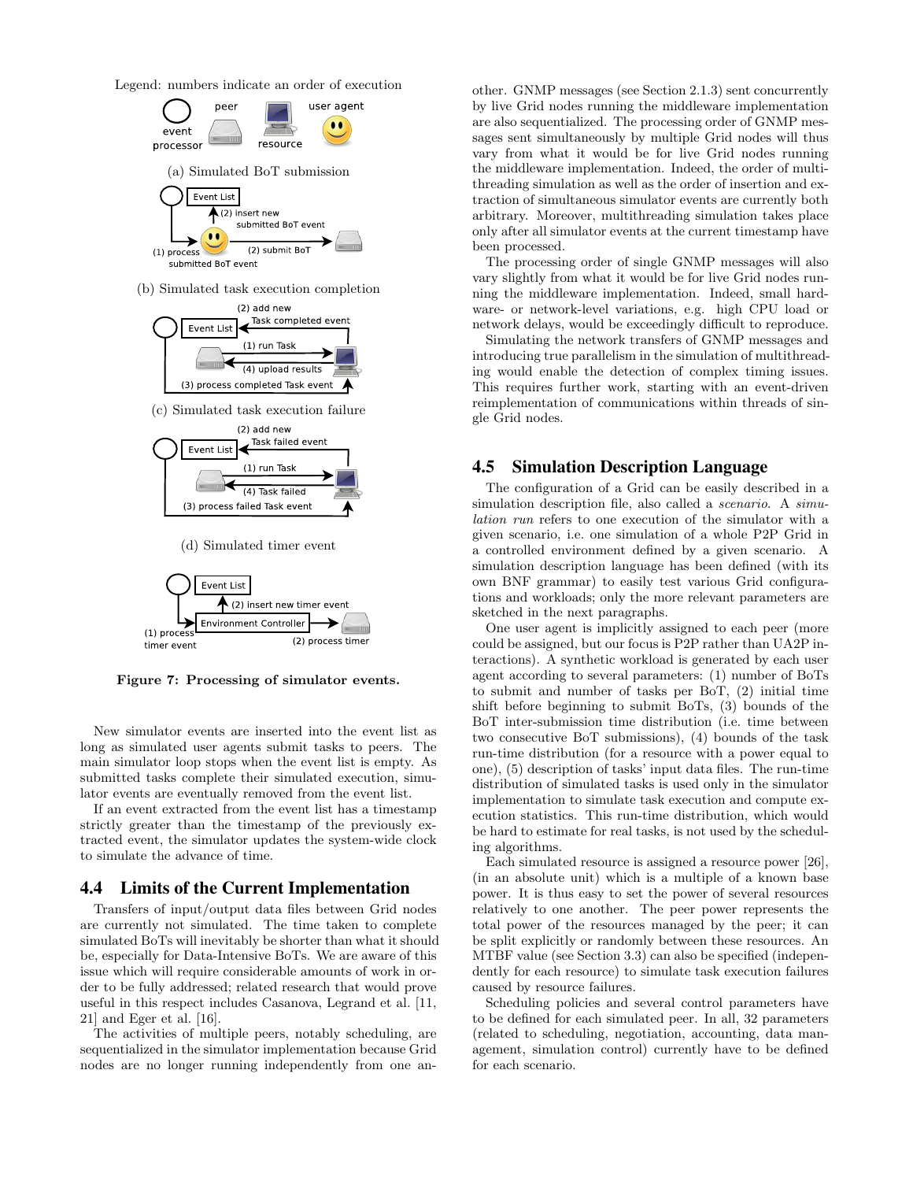Legend: numbers indicate an order of execution



Figure 7: Processing of simulator events.

timer event

(2) process timer

New simulator events are inserted into the event list as long as simulated user agents submit tasks to peers. The main simulator loop stops when the event list is empty. As submitted tasks complete their simulated execution, simulator events are eventually removed from the event list.

If an event extracted from the event list has a timestamp strictly greater than the timestamp of the previously extracted event, the simulator updates the system-wide clock to simulate the advance of time.

#### 4.4 Limits of the Current Implementation

Transfers of input/output data files between Grid nodes are currently not simulated. The time taken to complete simulated BoTs will inevitably be shorter than what it should be, especially for Data-Intensive BoTs. We are aware of this issue which will require considerable amounts of work in order to be fully addressed; related research that would prove useful in this respect includes Casanova, Legrand et al. [11, 21] and Eger et al. [16].

The activities of multiple peers, notably scheduling, are sequentialized in the simulator implementation because Grid nodes are no longer running independently from one another. GNMP messages (see Section 2.1.3) sent concurrently by live Grid nodes running the middleware implementation are also sequentialized. The processing order of GNMP messages sent simultaneously by multiple Grid nodes will thus vary from what it would be for live Grid nodes running the middleware implementation. Indeed, the order of multithreading simulation as well as the order of insertion and extraction of simultaneous simulator events are currently both arbitrary. Moreover, multithreading simulation takes place only after all simulator events at the current timestamp have been processed.

The processing order of single GNMP messages will also vary slightly from what it would be for live Grid nodes running the middleware implementation. Indeed, small hardware- or network-level variations, e.g. high CPU load or network delays, would be exceedingly difficult to reproduce.

Simulating the network transfers of GNMP messages and introducing true parallelism in the simulation of multithreading would enable the detection of complex timing issues. This requires further work, starting with an event-driven reimplementation of communications within threads of single Grid nodes.

## 4.5 Simulation Description Language

The configuration of a Grid can be easily described in a simulation description file, also called a *scenario*. A simulation run refers to one execution of the simulator with a given scenario, i.e. one simulation of a whole P2P Grid in a controlled environment defined by a given scenario. A simulation description language has been defined (with its own BNF grammar) to easily test various Grid configurations and workloads; only the more relevant parameters are sketched in the next paragraphs.

One user agent is implicitly assigned to each peer (more could be assigned, but our focus is P2P rather than UA2P interactions). A synthetic workload is generated by each user agent according to several parameters: (1) number of BoTs to submit and number of tasks per BoT, (2) initial time shift before beginning to submit BoTs, (3) bounds of the BoT inter-submission time distribution (i.e. time between two consecutive BoT submissions), (4) bounds of the task run-time distribution (for a resource with a power equal to one), (5) description of tasks' input data files. The run-time distribution of simulated tasks is used only in the simulator implementation to simulate task execution and compute execution statistics. This run-time distribution, which would be hard to estimate for real tasks, is not used by the scheduling algorithms.

Each simulated resource is assigned a resource power [26], (in an absolute unit) which is a multiple of a known base power. It is thus easy to set the power of several resources relatively to one another. The peer power represents the total power of the resources managed by the peer; it can be split explicitly or randomly between these resources. An MTBF value (see Section 3.3) can also be specified (independently for each resource) to simulate task execution failures caused by resource failures.

Scheduling policies and several control parameters have to be defined for each simulated peer. In all, 32 parameters (related to scheduling, negotiation, accounting, data management, simulation control) currently have to be defined for each scenario.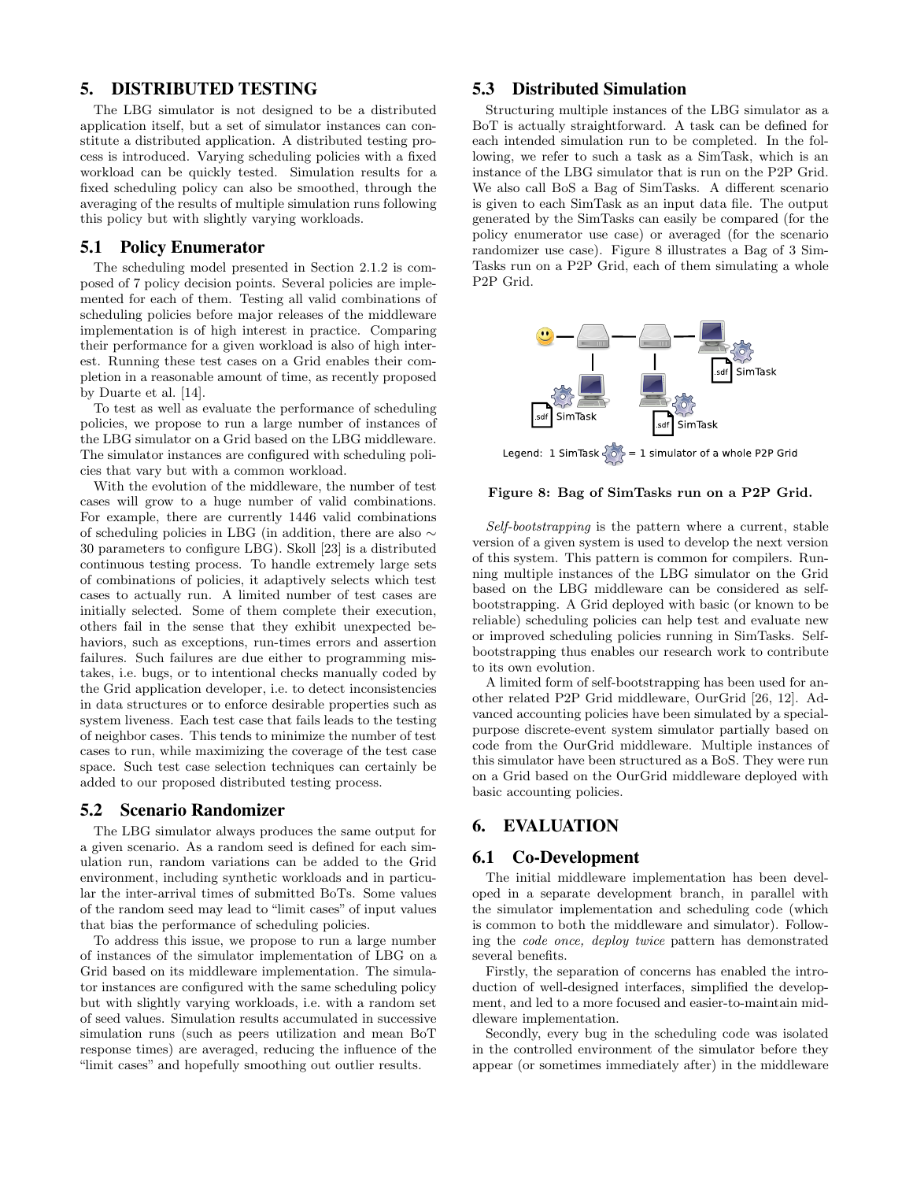## 5. DISTRIBUTED TESTING

The LBG simulator is not designed to be a distributed application itself, but a set of simulator instances can constitute a distributed application. A distributed testing process is introduced. Varying scheduling policies with a fixed workload can be quickly tested. Simulation results for a fixed scheduling policy can also be smoothed, through the averaging of the results of multiple simulation runs following this policy but with slightly varying workloads.

#### 5.1 Policy Enumerator

The scheduling model presented in Section 2.1.2 is composed of 7 policy decision points. Several policies are implemented for each of them. Testing all valid combinations of scheduling policies before major releases of the middleware implementation is of high interest in practice. Comparing their performance for a given workload is also of high interest. Running these test cases on a Grid enables their completion in a reasonable amount of time, as recently proposed by Duarte et al. [14].

To test as well as evaluate the performance of scheduling policies, we propose to run a large number of instances of the LBG simulator on a Grid based on the LBG middleware. The simulator instances are configured with scheduling policies that vary but with a common workload.

With the evolution of the middleware, the number of test cases will grow to a huge number of valid combinations. For example, there are currently 1446 valid combinations of scheduling policies in LBG (in addition, there are also ∼ 30 parameters to configure LBG). Skoll [23] is a distributed continuous testing process. To handle extremely large sets of combinations of policies, it adaptively selects which test cases to actually run. A limited number of test cases are initially selected. Some of them complete their execution, others fail in the sense that they exhibit unexpected behaviors, such as exceptions, run-times errors and assertion failures. Such failures are due either to programming mistakes, i.e. bugs, or to intentional checks manually coded by the Grid application developer, i.e. to detect inconsistencies in data structures or to enforce desirable properties such as system liveness. Each test case that fails leads to the testing of neighbor cases. This tends to minimize the number of test cases to run, while maximizing the coverage of the test case space. Such test case selection techniques can certainly be added to our proposed distributed testing process.

## 5.2 Scenario Randomizer

The LBG simulator always produces the same output for a given scenario. As a random seed is defined for each simulation run, random variations can be added to the Grid environment, including synthetic workloads and in particular the inter-arrival times of submitted BoTs. Some values of the random seed may lead to "limit cases" of input values that bias the performance of scheduling policies.

To address this issue, we propose to run a large number of instances of the simulator implementation of LBG on a Grid based on its middleware implementation. The simulator instances are configured with the same scheduling policy but with slightly varying workloads, i.e. with a random set of seed values. Simulation results accumulated in successive simulation runs (such as peers utilization and mean BoT response times) are averaged, reducing the influence of the "limit cases" and hopefully smoothing out outlier results.

## 5.3 Distributed Simulation

Structuring multiple instances of the LBG simulator as a BoT is actually straightforward. A task can be defined for each intended simulation run to be completed. In the following, we refer to such a task as a SimTask, which is an instance of the LBG simulator that is run on the P2P Grid. We also call BoS a Bag of SimTasks. A different scenario is given to each SimTask as an input data file. The output generated by the SimTasks can easily be compared (for the policy enumerator use case) or averaged (for the scenario randomizer use case). Figure 8 illustrates a Bag of 3 Sim-Tasks run on a P2P Grid, each of them simulating a whole P2P Grid.



#### Figure 8: Bag of SimTasks run on a P2P Grid.

Self-bootstrapping is the pattern where a current, stable version of a given system is used to develop the next version of this system. This pattern is common for compilers. Running multiple instances of the LBG simulator on the Grid based on the LBG middleware can be considered as selfbootstrapping. A Grid deployed with basic (or known to be reliable) scheduling policies can help test and evaluate new or improved scheduling policies running in SimTasks. Selfbootstrapping thus enables our research work to contribute to its own evolution.

A limited form of self-bootstrapping has been used for another related P2P Grid middleware, OurGrid [26, 12]. Advanced accounting policies have been simulated by a specialpurpose discrete-event system simulator partially based on code from the OurGrid middleware. Multiple instances of this simulator have been structured as a BoS. They were run on a Grid based on the OurGrid middleware deployed with basic accounting policies.

# 6. EVALUATION

#### 6.1 Co-Development

The initial middleware implementation has been developed in a separate development branch, in parallel with the simulator implementation and scheduling code (which is common to both the middleware and simulator). Following the code once, deploy twice pattern has demonstrated several benefits.

Firstly, the separation of concerns has enabled the introduction of well-designed interfaces, simplified the development, and led to a more focused and easier-to-maintain middleware implementation.

Secondly, every bug in the scheduling code was isolated in the controlled environment of the simulator before they appear (or sometimes immediately after) in the middleware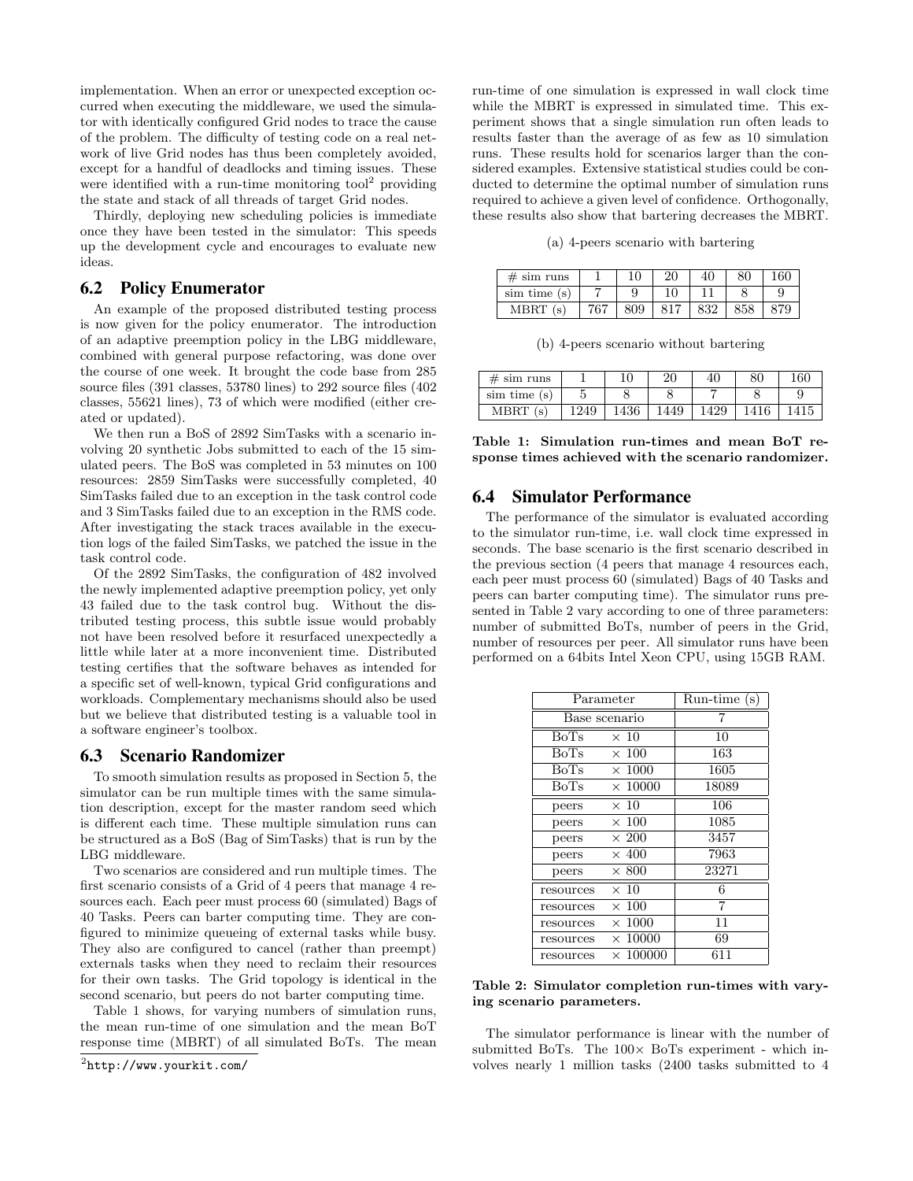implementation. When an error or unexpected exception occurred when executing the middleware, we used the simulator with identically configured Grid nodes to trace the cause of the problem. The difficulty of testing code on a real network of live Grid nodes has thus been completely avoided, except for a handful of deadlocks and timing issues. These were identified with a run-time monitoring tool<sup>2</sup> providing the state and stack of all threads of target Grid nodes.

Thirdly, deploying new scheduling policies is immediate once they have been tested in the simulator: This speeds up the development cycle and encourages to evaluate new ideas.

## 6.2 Policy Enumerator

An example of the proposed distributed testing process is now given for the policy enumerator. The introduction of an adaptive preemption policy in the LBG middleware, combined with general purpose refactoring, was done over the course of one week. It brought the code base from 285 source files (391 classes, 53780 lines) to 292 source files (402 classes, 55621 lines), 73 of which were modified (either created or updated).

We then run a BoS of 2892 SimTasks with a scenario involving 20 synthetic Jobs submitted to each of the 15 simulated peers. The BoS was completed in 53 minutes on 100 resources: 2859 SimTasks were successfully completed, 40 SimTasks failed due to an exception in the task control code and 3 SimTasks failed due to an exception in the RMS code. After investigating the stack traces available in the execution logs of the failed SimTasks, we patched the issue in the task control code.

Of the 2892 SimTasks, the configuration of 482 involved the newly implemented adaptive preemption policy, yet only 43 failed due to the task control bug. Without the distributed testing process, this subtle issue would probably not have been resolved before it resurfaced unexpectedly a little while later at a more inconvenient time. Distributed testing certifies that the software behaves as intended for a specific set of well-known, typical Grid configurations and workloads. Complementary mechanisms should also be used but we believe that distributed testing is a valuable tool in a software engineer's toolbox.

## 6.3 Scenario Randomizer

To smooth simulation results as proposed in Section 5, the simulator can be run multiple times with the same simulation description, except for the master random seed which is different each time. These multiple simulation runs can be structured as a BoS (Bag of SimTasks) that is run by the LBG middleware.

Two scenarios are considered and run multiple times. The first scenario consists of a Grid of 4 peers that manage 4 resources each. Each peer must process 60 (simulated) Bags of 40 Tasks. Peers can barter computing time. They are configured to minimize queueing of external tasks while busy. They also are configured to cancel (rather than preempt) externals tasks when they need to reclaim their resources for their own tasks. The Grid topology is identical in the second scenario, but peers do not barter computing time.

Table 1 shows, for varying numbers of simulation runs, the mean run-time of one simulation and the mean BoT response time (MBRT) of all simulated BoTs. The mean run-time of one simulation is expressed in wall clock time while the MBRT is expressed in simulated time. This experiment shows that a single simulation run often leads to results faster than the average of as few as 10 simulation runs. These results hold for scenarios larger than the considered examples. Extensive statistical studies could be conducted to determine the optimal number of simulation runs required to achieve a given level of confidence. Orthogonally, these results also show that bartering decreases the MBRT.

(a) 4-peers scenario with bartering

| $# \sin \text{ runs}$ |     | 10  | 20  | 40  | 80  | 160 |
|-----------------------|-----|-----|-----|-----|-----|-----|
| $\sin$ time $(s)$     |     |     | 10  |     |     |     |
| MBRT(s)               | 767 | 809 | 817 | 832 | 858 | 79  |

(b) 4-peers scenario without bartering

| $# \sin \text{ runs}$ |      | 10   | 20   | 40   | 80   | 160 |
|-----------------------|------|------|------|------|------|-----|
| sim time (s)          |      |      |      |      |      |     |
| MBRT                  | .249 | 1436 | 1449 | 1429 | 1416 |     |

Table 1: Simulation run-times and mean BoT response times achieved with the scenario randomizer.

#### 6.4 Simulator Performance

The performance of the simulator is evaluated according to the simulator run-time, i.e. wall clock time expressed in seconds. The base scenario is the first scenario described in the previous section (4 peers that manage 4 resources each, each peer must process 60 (simulated) Bags of 40 Tasks and peers can barter computing time). The simulator runs presented in Table 2 vary according to one of three parameters: number of submitted BoTs, number of peers in the Grid, number of resources per peer. All simulator runs have been performed on a 64bits Intel Xeon CPU, using 15GB RAM.

| Parameter     | Run-time (s)    |       |  |
|---------------|-----------------|-------|--|
| Base scenario |                 |       |  |
| BoTs          | $\times 10$     | 10    |  |
| <b>BoTs</b>   | $\times 100$    | 163   |  |
| <b>BoTs</b>   | $\times$ 1000   | 1605  |  |
| BoTs          | $\times$ 10000  | 18089 |  |
| peers         | $\times$ 10     | 106   |  |
| peers         | $\times 100$    | 1085  |  |
| peers         | $\times 200$    | 3457  |  |
| peers         | $\times$ 400    | 7963  |  |
| peers         | $\times 800$    | 23271 |  |
| resources     | $\times$ 10     | 6     |  |
| resources     | $\times 100$    | 7     |  |
| resources     | $\times$ 1000   | 11    |  |
| resources     | $\times$ 10000  | 69    |  |
| resources     | $\times$ 100000 | 611   |  |

#### Table 2: Simulator completion run-times with varying scenario parameters.

The simulator performance is linear with the number of submitted BoTs. The  $100\times$  BoTs experiment - which involves nearly 1 million tasks (2400 tasks submitted to 4

 $^{2}$ http://www.yourkit.com/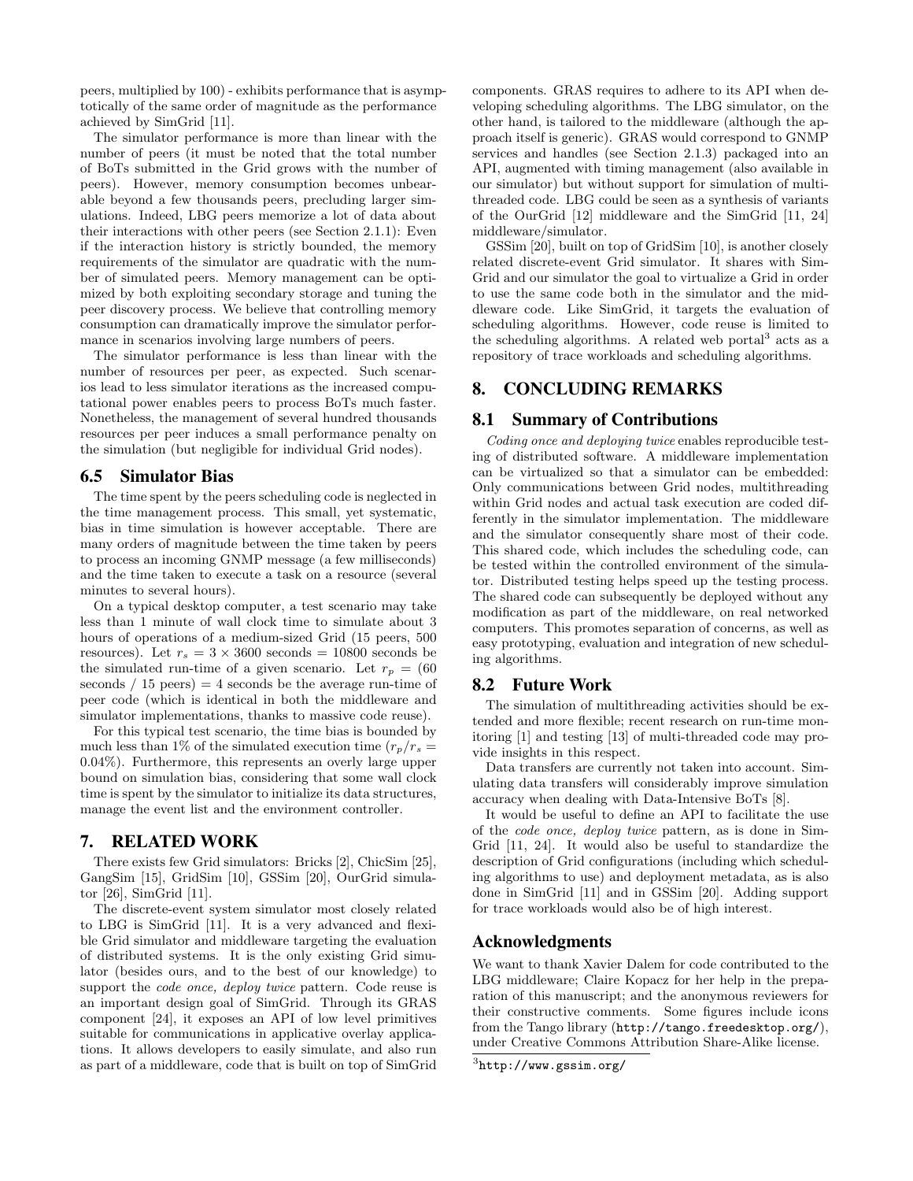peers, multiplied by 100) - exhibits performance that is asymptotically of the same order of magnitude as the performance achieved by SimGrid [11].

The simulator performance is more than linear with the number of peers (it must be noted that the total number of BoTs submitted in the Grid grows with the number of peers). However, memory consumption becomes unbearable beyond a few thousands peers, precluding larger simulations. Indeed, LBG peers memorize a lot of data about their interactions with other peers (see Section 2.1.1): Even if the interaction history is strictly bounded, the memory requirements of the simulator are quadratic with the number of simulated peers. Memory management can be optimized by both exploiting secondary storage and tuning the peer discovery process. We believe that controlling memory consumption can dramatically improve the simulator performance in scenarios involving large numbers of peers.

The simulator performance is less than linear with the number of resources per peer, as expected. Such scenarios lead to less simulator iterations as the increased computational power enables peers to process BoTs much faster. Nonetheless, the management of several hundred thousands resources per peer induces a small performance penalty on the simulation (but negligible for individual Grid nodes).

## 6.5 Simulator Bias

The time spent by the peers scheduling code is neglected in the time management process. This small, yet systematic, bias in time simulation is however acceptable. There are many orders of magnitude between the time taken by peers to process an incoming GNMP message (a few milliseconds) and the time taken to execute a task on a resource (several minutes to several hours).

On a typical desktop computer, a test scenario may take less than 1 minute of wall clock time to simulate about 3 hours of operations of a medium-sized Grid (15 peers, 500 resources). Let  $r_s = 3 \times 3600$  seconds = 10800 seconds be the simulated run-time of a given scenario. Let  $r_p = (60$ seconds  $\ell$  15 peers) = 4 seconds be the average run-time of peer code (which is identical in both the middleware and simulator implementations, thanks to massive code reuse).

For this typical test scenario, the time bias is bounded by much less than 1% of the simulated execution time  $(r_p/r_s =$ 0.04%). Furthermore, this represents an overly large upper bound on simulation bias, considering that some wall clock time is spent by the simulator to initialize its data structures, manage the event list and the environment controller.

## 7. RELATED WORK

There exists few Grid simulators: Bricks [2], ChicSim [25], GangSim [15], GridSim [10], GSSim [20], OurGrid simulator [26], SimGrid [11].

The discrete-event system simulator most closely related to LBG is SimGrid [11]. It is a very advanced and flexible Grid simulator and middleware targeting the evaluation of distributed systems. It is the only existing Grid simulator (besides ours, and to the best of our knowledge) to support the *code once*, *deploy twice* pattern. Code reuse is an important design goal of SimGrid. Through its GRAS component [24], it exposes an API of low level primitives suitable for communications in applicative overlay applications. It allows developers to easily simulate, and also run as part of a middleware, code that is built on top of SimGrid components. GRAS requires to adhere to its API when developing scheduling algorithms. The LBG simulator, on the other hand, is tailored to the middleware (although the approach itself is generic). GRAS would correspond to GNMP services and handles (see Section 2.1.3) packaged into an API, augmented with timing management (also available in our simulator) but without support for simulation of multithreaded code. LBG could be seen as a synthesis of variants of the OurGrid [12] middleware and the SimGrid [11, 24] middleware/simulator.

GSSim [20], built on top of GridSim [10], is another closely related discrete-event Grid simulator. It shares with Sim-Grid and our simulator the goal to virtualize a Grid in order to use the same code both in the simulator and the middleware code. Like SimGrid, it targets the evaluation of scheduling algorithms. However, code reuse is limited to the scheduling algorithms. A related web portal<sup>3</sup> acts as a repository of trace workloads and scheduling algorithms.

# 8. CONCLUDING REMARKS

## 8.1 Summary of Contributions

Coding once and deploying twice enables reproducible testing of distributed software. A middleware implementation can be virtualized so that a simulator can be embedded: Only communications between Grid nodes, multithreading within Grid nodes and actual task execution are coded differently in the simulator implementation. The middleware and the simulator consequently share most of their code. This shared code, which includes the scheduling code, can be tested within the controlled environment of the simulator. Distributed testing helps speed up the testing process. The shared code can subsequently be deployed without any modification as part of the middleware, on real networked computers. This promotes separation of concerns, as well as easy prototyping, evaluation and integration of new scheduling algorithms.

## 8.2 Future Work

The simulation of multithreading activities should be extended and more flexible; recent research on run-time monitoring [1] and testing [13] of multi-threaded code may provide insights in this respect.

Data transfers are currently not taken into account. Simulating data transfers will considerably improve simulation accuracy when dealing with Data-Intensive BoTs [8].

It would be useful to define an API to facilitate the use of the code once, deploy twice pattern, as is done in Sim-Grid [11, 24]. It would also be useful to standardize the description of Grid configurations (including which scheduling algorithms to use) and deployment metadata, as is also done in SimGrid [11] and in GSSim [20]. Adding support for trace workloads would also be of high interest.

## Acknowledgments

We want to thank Xavier Dalem for code contributed to the LBG middleware; Claire Kopacz for her help in the preparation of this manuscript; and the anonymous reviewers for their constructive comments. Some figures include icons from the Tango library (http://tango.freedesktop.org/), under Creative Commons Attribution Share-Alike license.

 ${}^{3}$ http://www.gssim.org/